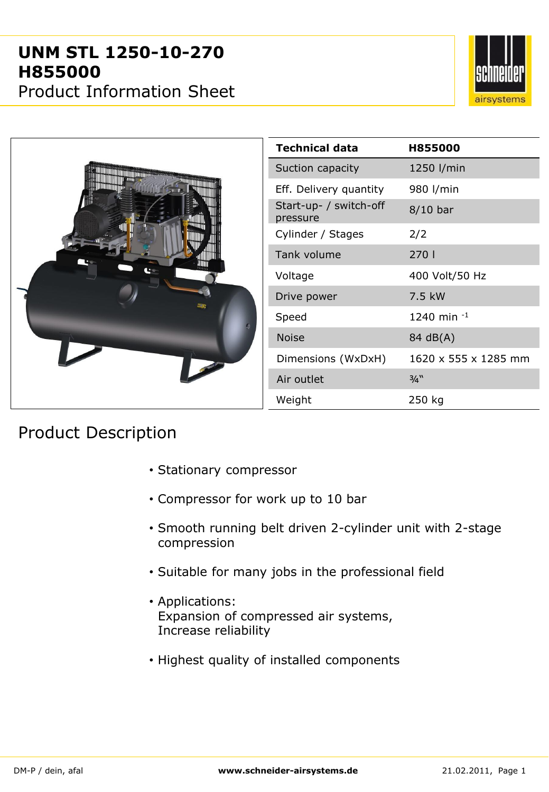## **UNM STL 1250-10-270 H855000**

Product Information Sheet





## Product Description

- Stationary compressor
- Compressor for work up to 10 bar
- Smooth running belt driven 2-cylinder unit with 2-stage compression
- Suitable for many jobs in the professional field
- Applications: Expansion of compressed air systems, Increase reliability
- Highest quality of installed components